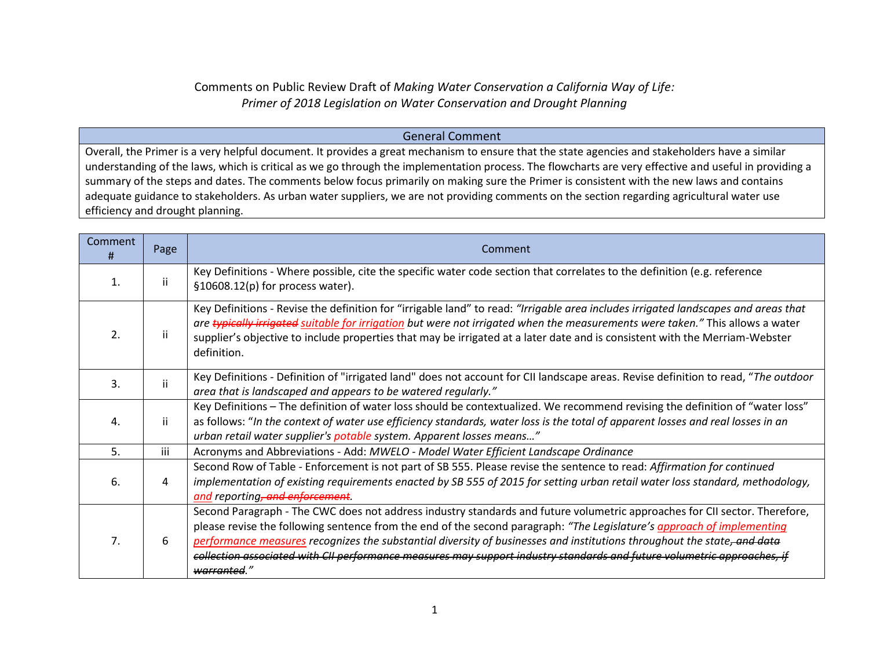## Comments on Public Review Draft of *Making Water Conservation a California Way of Life: Primer of 2018 Legislation on Water Conservation and Drought Planning*

## General Comment

Overall, the Primer is a very helpful document. It provides a great mechanism to ensure that the state agencies and stakeholders have a similar understanding of the laws, which is critical as we go through the implementation process. The flowcharts are very effective and useful in providing a summary of the steps and dates. The comments below focus primarily on making sure the Primer is consistent with the new laws and contains adequate guidance to stakeholders. As urban water suppliers, we are not providing comments on the section regarding agricultural water use efficiency and drought planning.

| <b>Comment</b><br>Ħ | Page         | Comment                                                                                                                                                                                                                                                                                                                                                                                                                                                                                                                   |
|---------------------|--------------|---------------------------------------------------------------------------------------------------------------------------------------------------------------------------------------------------------------------------------------------------------------------------------------------------------------------------------------------------------------------------------------------------------------------------------------------------------------------------------------------------------------------------|
| 1.                  | $\mathbf{H}$ | Key Definitions - Where possible, cite the specific water code section that correlates to the definition (e.g. reference<br>$$10608.12(p)$ for process water).                                                                                                                                                                                                                                                                                                                                                            |
| 2.                  | ii.          | Key Definitions - Revise the definition for "irrigable land" to read: "Irrigable area includes irrigated landscapes and areas that<br>are typically irrigated suitable for irrigation but were not irrigated when the measurements were taken." This allows a water<br>supplier's objective to include properties that may be irrigated at a later date and is consistent with the Merriam-Webster<br>definition.                                                                                                         |
| 3.                  | ii.          | Key Definitions - Definition of "irrigated land" does not account for CII landscape areas. Revise definition to read, "The outdoor<br>area that is landscaped and appears to be watered regularly."                                                                                                                                                                                                                                                                                                                       |
| 4.                  | -ii          | Key Definitions - The definition of water loss should be contextualized. We recommend revising the definition of "water loss"<br>as follows: "In the context of water use efficiency standards, water loss is the total of apparent losses and real losses in an<br>urban retail water supplier's potable system. Apparent losses means"                                                                                                                                                                                  |
| 5.                  | iii          | Acronyms and Abbreviations - Add: MWELO - Model Water Efficient Landscape Ordinance                                                                                                                                                                                                                                                                                                                                                                                                                                       |
| 6.                  | 4            | Second Row of Table - Enforcement is not part of SB 555. Please revise the sentence to read: Affirmation for continued<br>implementation of existing requirements enacted by SB 555 of 2015 for setting urban retail water loss standard, methodology,<br>and reporting, and enforcement.                                                                                                                                                                                                                                 |
| 7 <sub>1</sub>      | 6            | Second Paragraph - The CWC does not address industry standards and future volumetric approaches for CII sector. Therefore,<br>please revise the following sentence from the end of the second paragraph: "The Legislature's approach of implementing<br>performance measures recognizes the substantial diversity of businesses and institutions throughout the state, and data<br>collection associated with CII performance measures may support industry standards and future volumetric approaches, if<br>warranted." |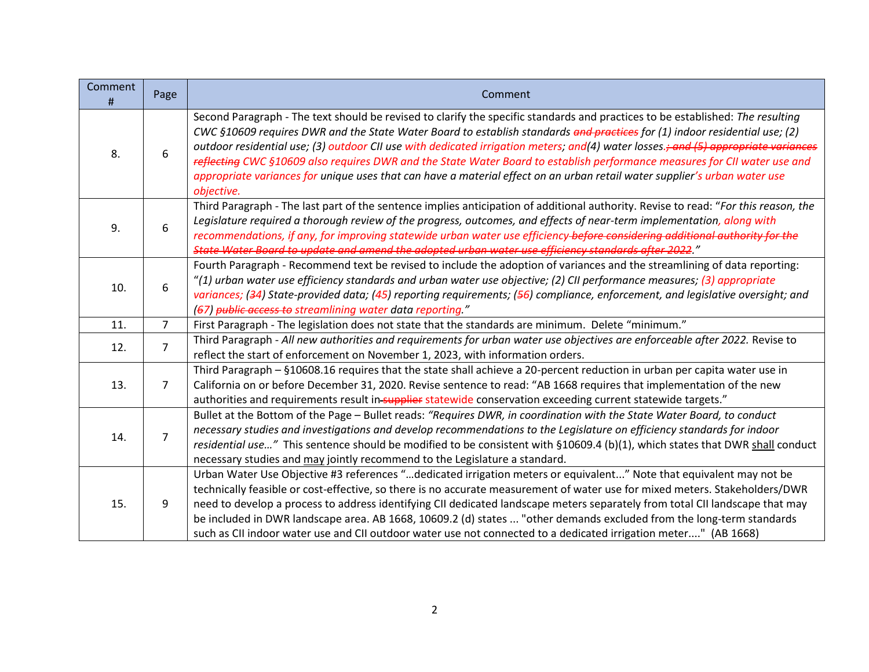| Comment<br># | Page           | Comment                                                                                                                                                                                                                                                                                                                                                                                                                                                                                                                                                                                                                                                                    |
|--------------|----------------|----------------------------------------------------------------------------------------------------------------------------------------------------------------------------------------------------------------------------------------------------------------------------------------------------------------------------------------------------------------------------------------------------------------------------------------------------------------------------------------------------------------------------------------------------------------------------------------------------------------------------------------------------------------------------|
| 8.           | 6              | Second Paragraph - The text should be revised to clarify the specific standards and practices to be established: The resulting<br>CWC §10609 requires DWR and the State Water Board to establish standards and practices for (1) indoor residential use; (2)<br>outdoor residential use; (3) outdoor CII use with dedicated irrigation meters; and(4) water losses.; and (5) appropriate variances<br>reflecting CWC §10609 also requires DWR and the State Water Board to establish performance measures for CII water use and<br>appropriate variances for unique uses that can have a material effect on an urban retail water supplier's urban water use<br>objective. |
| 9.           | 6              | Third Paragraph - The last part of the sentence implies anticipation of additional authority. Revise to read: "For this reason, the<br>Legislature required a thorough review of the progress, outcomes, and effects of near-term implementation, along with<br>recommendations, if any, for improving statewide urban water use efficiency-before considering additional authority for the<br>State Water Board to update and amend the adopted urban water use efficiency standards after 2022."                                                                                                                                                                         |
| 10.          | 6              | Fourth Paragraph - Recommend text be revised to include the adoption of variances and the streamlining of data reporting:<br>"(1) urban water use efficiency standards and urban water use objective; (2) CII performance measures; (3) appropriate<br>variances; (34) State-provided data; (45) reporting requirements; (56) compliance, enforcement, and legislative oversight; and<br>(67) public access to streamlining water data reporting."                                                                                                                                                                                                                         |
| 11.          | $\overline{7}$ | First Paragraph - The legislation does not state that the standards are minimum. Delete "minimum."                                                                                                                                                                                                                                                                                                                                                                                                                                                                                                                                                                         |
| 12.          | $\overline{7}$ | Third Paragraph - All new authorities and requirements for urban water use objectives are enforceable after 2022. Revise to<br>reflect the start of enforcement on November 1, 2023, with information orders.                                                                                                                                                                                                                                                                                                                                                                                                                                                              |
| 13.          | 7              | Third Paragraph - §10608.16 requires that the state shall achieve a 20-percent reduction in urban per capita water use in<br>California on or before December 31, 2020. Revise sentence to read: "AB 1668 requires that implementation of the new<br>authorities and requirements result in-supplier statewide conservation exceeding current statewide targets."                                                                                                                                                                                                                                                                                                          |
| 14.          | $\overline{7}$ | Bullet at the Bottom of the Page - Bullet reads: "Requires DWR, in coordination with the State Water Board, to conduct<br>necessary studies and investigations and develop recommendations to the Legislature on efficiency standards for indoor<br>residential use" This sentence should be modified to be consistent with §10609.4 (b)(1), which states that DWR shall conduct<br>necessary studies and may jointly recommend to the Legislature a standard.                                                                                                                                                                                                             |
| 15.          | 9              | Urban Water Use Objective #3 references "dedicated irrigation meters or equivalent" Note that equivalent may not be<br>technically feasible or cost-effective, so there is no accurate measurement of water use for mixed meters. Stakeholders/DWR<br>need to develop a process to address identifying CII dedicated landscape meters separately from total CII landscape that may<br>be included in DWR landscape area. AB 1668, 10609.2 (d) states  "other demands excluded from the long-term standards<br>such as CII indoor water use and CII outdoor water use not connected to a dedicated irrigation meter" (AB 1668)                                              |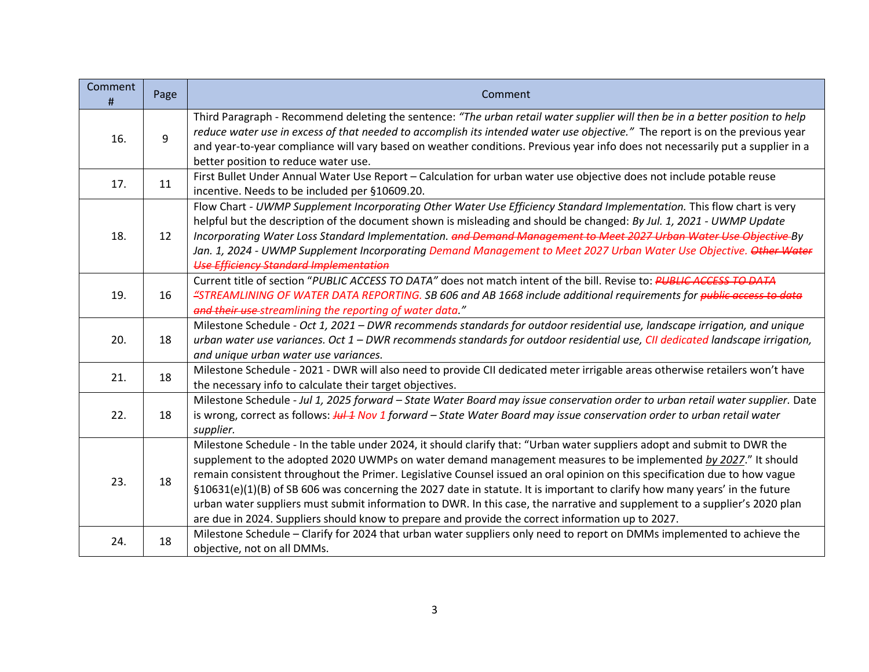| Comment<br>$\sharp$ | Page | Comment                                                                                                                                                                                                                                                                                                                                                                                                                                                                                                                                                                                                                                                                                                                                    |
|---------------------|------|--------------------------------------------------------------------------------------------------------------------------------------------------------------------------------------------------------------------------------------------------------------------------------------------------------------------------------------------------------------------------------------------------------------------------------------------------------------------------------------------------------------------------------------------------------------------------------------------------------------------------------------------------------------------------------------------------------------------------------------------|
| 16.                 | 9    | Third Paragraph - Recommend deleting the sentence: "The urban retail water supplier will then be in a better position to help<br>reduce water use in excess of that needed to accomplish its intended water use objective." The report is on the previous year<br>and year-to-year compliance will vary based on weather conditions. Previous year info does not necessarily put a supplier in a<br>better position to reduce water use.                                                                                                                                                                                                                                                                                                   |
| 17.                 | 11   | First Bullet Under Annual Water Use Report - Calculation for urban water use objective does not include potable reuse<br>incentive. Needs to be included per §10609.20.                                                                                                                                                                                                                                                                                                                                                                                                                                                                                                                                                                    |
| 18.                 | 12   | Flow Chart - UWMP Supplement Incorporating Other Water Use Efficiency Standard Implementation. This flow chart is very<br>helpful but the description of the document shown is misleading and should be changed: By Jul. 1, 2021 - UWMP Update<br>Incorporating Water Loss Standard Implementation. and Demand Management to Meet 2027 Urban Water Use Objective By<br>Jan. 1, 2024 - UWMP Supplement Incorporating Demand Management to Meet 2027 Urban Water Use Objective. Other Water<br><b>Use Efficiency Standard Implementation</b>                                                                                                                                                                                                 |
| 19.                 | 16   | Current title of section "PUBLIC ACCESS TO DATA" does not match intent of the bill. Revise to: PUBLIC ACCESS TO DATA<br>"STREAMLINING OF WATER DATA REPORTING. SB 606 and AB 1668 include additional requirements for public access to data<br>and their use streamlining the reporting of water data."                                                                                                                                                                                                                                                                                                                                                                                                                                    |
| 20.                 | 18   | Milestone Schedule - Oct 1, 2021 - DWR recommends standards for outdoor residential use, landscape irrigation, and unique<br>urban water use variances. Oct 1 - DWR recommends standards for outdoor residential use, CII dedicated landscape irrigation,<br>and unique urban water use variances.                                                                                                                                                                                                                                                                                                                                                                                                                                         |
| 21.                 | 18   | Milestone Schedule - 2021 - DWR will also need to provide CII dedicated meter irrigable areas otherwise retailers won't have<br>the necessary info to calculate their target objectives.                                                                                                                                                                                                                                                                                                                                                                                                                                                                                                                                                   |
| 22.                 | 18   | Milestone Schedule - Jul 1, 2025 forward - State Water Board may issue conservation order to urban retail water supplier. Date<br>is wrong, correct as follows: HH 4 Nov 1 forward – State Water Board may issue conservation order to urban retail water<br>supplier.                                                                                                                                                                                                                                                                                                                                                                                                                                                                     |
| 23.                 | 18   | Milestone Schedule - In the table under 2024, it should clarify that: "Urban water suppliers adopt and submit to DWR the<br>supplement to the adopted 2020 UWMPs on water demand management measures to be implemented by 2027." It should<br>remain consistent throughout the Primer. Legislative Counsel issued an oral opinion on this specification due to how vague<br>§10631(e)(1)(B) of SB 606 was concerning the 2027 date in statute. It is important to clarify how many years' in the future<br>urban water suppliers must submit information to DWR. In this case, the narrative and supplement to a supplier's 2020 plan<br>are due in 2024. Suppliers should know to prepare and provide the correct information up to 2027. |
| 24.                 | 18   | Milestone Schedule - Clarify for 2024 that urban water suppliers only need to report on DMMs implemented to achieve the<br>objective, not on all DMMs.                                                                                                                                                                                                                                                                                                                                                                                                                                                                                                                                                                                     |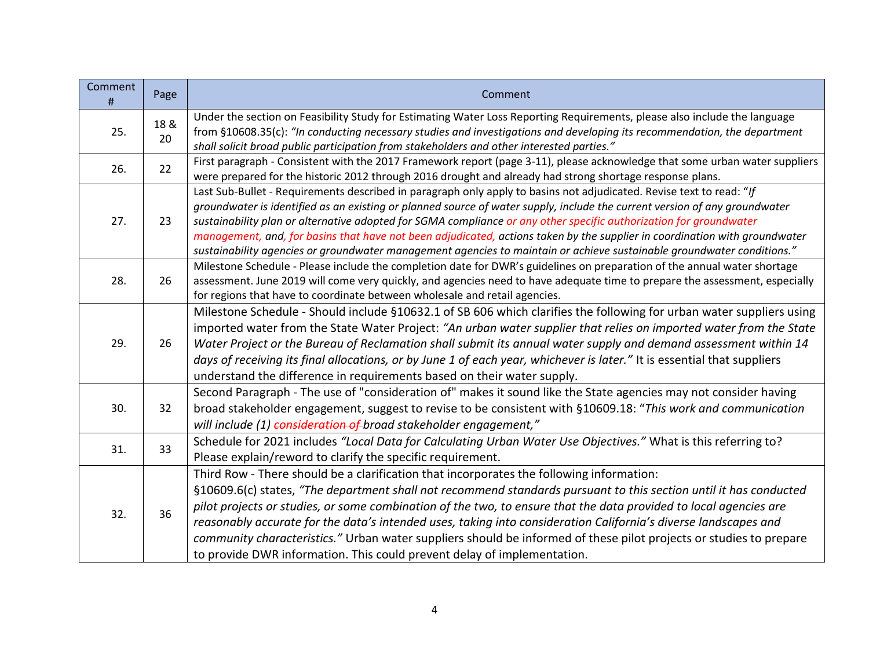| Comment<br># | Page       | Comment                                                                                                                                                                                                                                                                                                                                                                                                                                                                                                                                                                                                                                                |
|--------------|------------|--------------------------------------------------------------------------------------------------------------------------------------------------------------------------------------------------------------------------------------------------------------------------------------------------------------------------------------------------------------------------------------------------------------------------------------------------------------------------------------------------------------------------------------------------------------------------------------------------------------------------------------------------------|
| 25.          | 18 &<br>20 | Under the section on Feasibility Study for Estimating Water Loss Reporting Requirements, please also include the language<br>from §10608.35(c): "In conducting necessary studies and investigations and developing its recommendation, the department<br>shall solicit broad public participation from stakeholders and other interested parties."                                                                                                                                                                                                                                                                                                     |
| 26.          | 22         | First paragraph - Consistent with the 2017 Framework report (page 3-11), please acknowledge that some urban water suppliers<br>were prepared for the historic 2012 through 2016 drought and already had strong shortage response plans.                                                                                                                                                                                                                                                                                                                                                                                                                |
| 27.          | 23         | Last Sub-Bullet - Requirements described in paragraph only apply to basins not adjudicated. Revise text to read: "If<br>groundwater is identified as an existing or planned source of water supply, include the current version of any groundwater<br>sustainability plan or alternative adopted for SGMA compliance or any other specific authorization for groundwater<br>management, and, for basins that have not been adjudicated, actions taken by the supplier in coordination with groundwater<br>sustainability agencies or groundwater management agencies to maintain or achieve sustainable groundwater conditions."                       |
| 28.          | 26         | Milestone Schedule - Please include the completion date for DWR's guidelines on preparation of the annual water shortage<br>assessment. June 2019 will come very quickly, and agencies need to have adequate time to prepare the assessment, especially<br>for regions that have to coordinate between wholesale and retail agencies.                                                                                                                                                                                                                                                                                                                  |
| 29.          | 26         | Milestone Schedule - Should include §10632.1 of SB 606 which clarifies the following for urban water suppliers using<br>imported water from the State Water Project: "An urban water supplier that relies on imported water from the State<br>Water Project or the Bureau of Reclamation shall submit its annual water supply and demand assessment within 14<br>days of receiving its final allocations, or by June 1 of each year, whichever is later." It is essential that suppliers<br>understand the difference in requirements based on their water supply.                                                                                     |
| 30.          | 32         | Second Paragraph - The use of "consideration of" makes it sound like the State agencies may not consider having<br>broad stakeholder engagement, suggest to revise to be consistent with §10609.18: "This work and communication<br>will include (1) consideration of broad stakeholder engagement,"                                                                                                                                                                                                                                                                                                                                                   |
| 31.          | 33         | Schedule for 2021 includes "Local Data for Calculating Urban Water Use Objectives." What is this referring to?<br>Please explain/reword to clarify the specific requirement.                                                                                                                                                                                                                                                                                                                                                                                                                                                                           |
| 32.          | 36         | Third Row - There should be a clarification that incorporates the following information:<br>§10609.6(c) states, "The department shall not recommend standards pursuant to this section until it has conducted<br>pilot projects or studies, or some combination of the two, to ensure that the data provided to local agencies are<br>reasonably accurate for the data's intended uses, taking into consideration California's diverse landscapes and<br>community characteristics." Urban water suppliers should be informed of these pilot projects or studies to prepare<br>to provide DWR information. This could prevent delay of implementation. |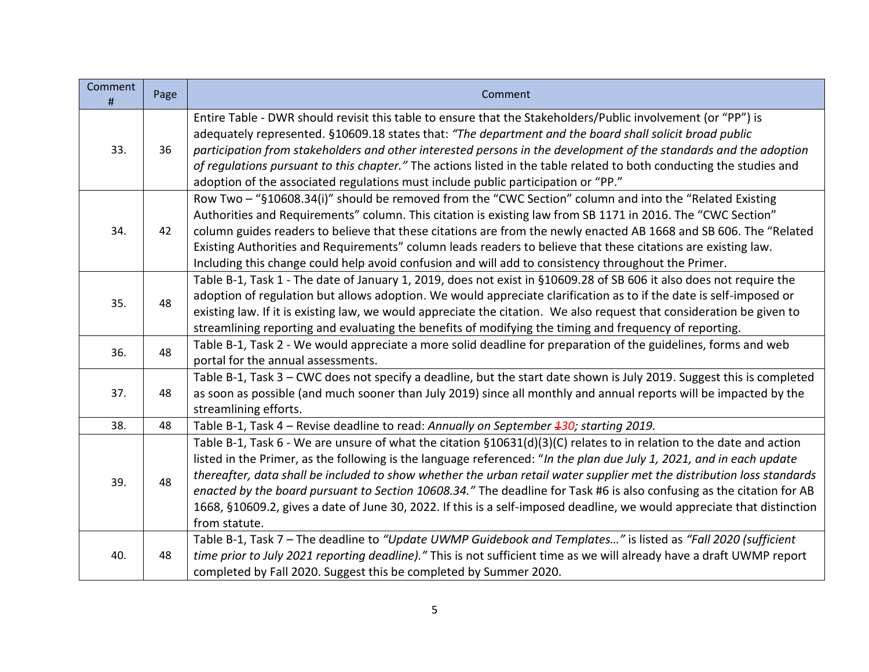| Comment<br>$\#$ | Page | Comment                                                                                                                                                                                                                                                                                                                                                                                                                                                                                                                                                                                                                                     |
|-----------------|------|---------------------------------------------------------------------------------------------------------------------------------------------------------------------------------------------------------------------------------------------------------------------------------------------------------------------------------------------------------------------------------------------------------------------------------------------------------------------------------------------------------------------------------------------------------------------------------------------------------------------------------------------|
| 33.             | 36   | Entire Table - DWR should revisit this table to ensure that the Stakeholders/Public involvement (or "PP") is<br>adequately represented. §10609.18 states that: "The department and the board shall solicit broad public<br>participation from stakeholders and other interested persons in the development of the standards and the adoption<br>of regulations pursuant to this chapter." The actions listed in the table related to both conducting the studies and<br>adoption of the associated regulations must include public participation or "PP."                                                                                   |
| 34.             | 42   | Row Two - "§10608.34(i)" should be removed from the "CWC Section" column and into the "Related Existing<br>Authorities and Requirements" column. This citation is existing law from SB 1171 in 2016. The "CWC Section"<br>column guides readers to believe that these citations are from the newly enacted AB 1668 and SB 606. The "Related<br>Existing Authorities and Requirements" column leads readers to believe that these citations are existing law.<br>Including this change could help avoid confusion and will add to consistency throughout the Primer.                                                                         |
| 35.             | 48   | Table B-1, Task 1 - The date of January 1, 2019, does not exist in §10609.28 of SB 606 it also does not require the<br>adoption of regulation but allows adoption. We would appreciate clarification as to if the date is self-imposed or<br>existing law. If it is existing law, we would appreciate the citation. We also request that consideration be given to<br>streamlining reporting and evaluating the benefits of modifying the timing and frequency of reporting.                                                                                                                                                                |
| 36.             | 48   | Table B-1, Task 2 - We would appreciate a more solid deadline for preparation of the guidelines, forms and web<br>portal for the annual assessments.                                                                                                                                                                                                                                                                                                                                                                                                                                                                                        |
| 37.             | 48   | Table B-1, Task 3 - CWC does not specify a deadline, but the start date shown is July 2019. Suggest this is completed<br>as soon as possible (and much sooner than July 2019) since all monthly and annual reports will be impacted by the<br>streamlining efforts.                                                                                                                                                                                                                                                                                                                                                                         |
| 38.             | 48   | Table B-1, Task 4 – Revise deadline to read: Annually on September 430; starting 2019.                                                                                                                                                                                                                                                                                                                                                                                                                                                                                                                                                      |
| 39.             | 48   | Table B-1, Task 6 - We are unsure of what the citation §10631(d)(3)(C) relates to in relation to the date and action<br>listed in the Primer, as the following is the language referenced: "In the plan due July 1, 2021, and in each update<br>thereafter, data shall be included to show whether the urban retail water supplier met the distribution loss standards<br>enacted by the board pursuant to Section 10608.34." The deadline for Task #6 is also confusing as the citation for AB<br>1668, §10609.2, gives a date of June 30, 2022. If this is a self-imposed deadline, we would appreciate that distinction<br>from statute. |
| 40.             | 48   | Table B-1, Task 7 - The deadline to "Update UWMP Guidebook and Templates" is listed as "Fall 2020 (sufficient<br>time prior to July 2021 reporting deadline)." This is not sufficient time as we will already have a draft UWMP report<br>completed by Fall 2020. Suggest this be completed by Summer 2020.                                                                                                                                                                                                                                                                                                                                 |